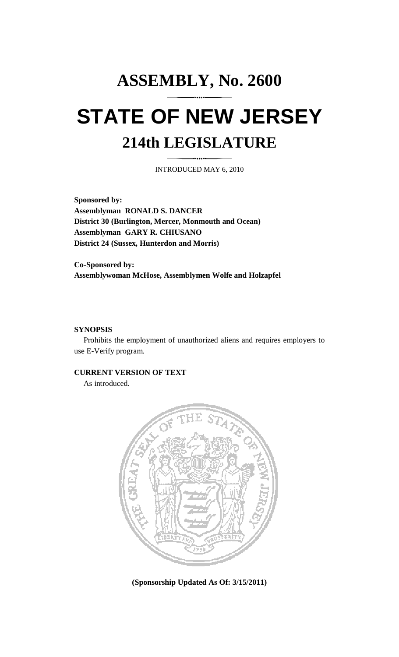# **ASSEMBLY, No. 2600 STATE OF NEW JERSEY 214th LEGISLATURE**

INTRODUCED MAY 6, 2010

**Sponsored by: Assemblyman RONALD S. DANCER District 30 (Burlington, Mercer, Monmouth and Ocean) Assemblyman GARY R. CHIUSANO District 24 (Sussex, Hunterdon and Morris)** 

**Co-Sponsored by: Assemblywoman McHose, Assemblymen Wolfe and Holzapfel** 

## **SYNOPSIS**

 Prohibits the employment of unauthorized aliens and requires employers to use E-Verify program.

## **CURRENT VERSION OF TEXT**

As introduced.



**(Sponsorship Updated As Of: 3/15/2011)**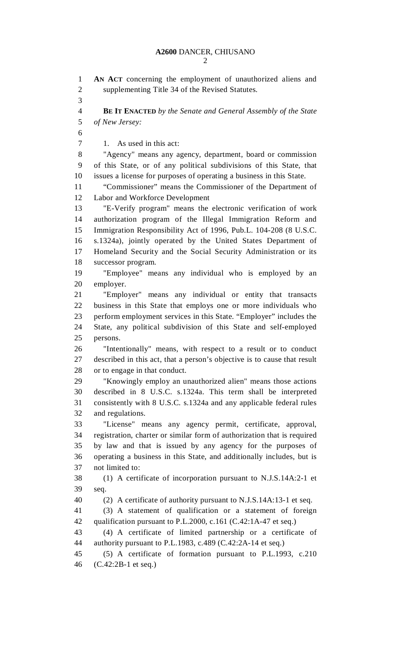# **A2600** DANCER, CHIUSANO

2

1 **AN ACT** concerning the employment of unauthorized aliens and 2 supplementing Title 34 of the Revised Statutes. 3 4 **BE IT ENACTED** *by the Senate and General Assembly of the State*  5 *of New Jersey:* 6 7 1. As used in this act: 8 "Agency" means any agency, department, board or commission 9 of this State, or of any political subdivisions of this State, that 10 issues a license for purposes of operating a business in this State. 11 "Commissioner" means the Commissioner of the Department of 12 Labor and Workforce Development 13 "E-Verify program" means the electronic verification of work 14 authorization program of the Illegal Immigration Reform and 15 Immigration Responsibility Act of 1996, Pub.L. 104-208 (8 U.S.C. 16 s.1324a), jointly operated by the United States Department of 17 Homeland Security and the Social Security Administration or its 18 successor program. 19 "Employee" means any individual who is employed by an 20 employer. 21 "Employer" means any individual or entity that transacts 22 business in this State that employs one or more individuals who 23 perform employment services in this State. "Employer" includes the 24 State, any political subdivision of this State and self-employed 25 persons. 26 "Intentionally" means, with respect to a result or to conduct 27 described in this act, that a person's objective is to cause that result 28 or to engage in that conduct. 29 "Knowingly employ an unauthorized alien" means those actions 30 described in 8 U.S.C. s.1324a. This term shall be interpreted 31 consistently with 8 U.S.C. s.1324a and any applicable federal rules 32 and regulations. 33 "License" means any agency permit, certificate, approval, 34 registration, charter or similar form of authorization that is required 35 by law and that is issued by any agency for the purposes of 36 operating a business in this State, and additionally includes, but is 37 not limited to: 38 (1) A certificate of incorporation pursuant to N.J.S.14A:2-1 et 39 seq. 40 (2) A certificate of authority pursuant to N.J.S.14A:13-1 et seq. 41 (3) A statement of qualification or a statement of foreign 42 qualification pursuant to P.L.2000, c.161 (C.42:1A-47 et seq.) 43 (4) A certificate of limited partnership or a certificate of 44 authority pursuant to P.L.1983, c.489 (C.42:2A-14 et seq.) 45 (5) A certificate of formation pursuant to P.L.1993, c.210 46 (C.42:2B-1 et seq.)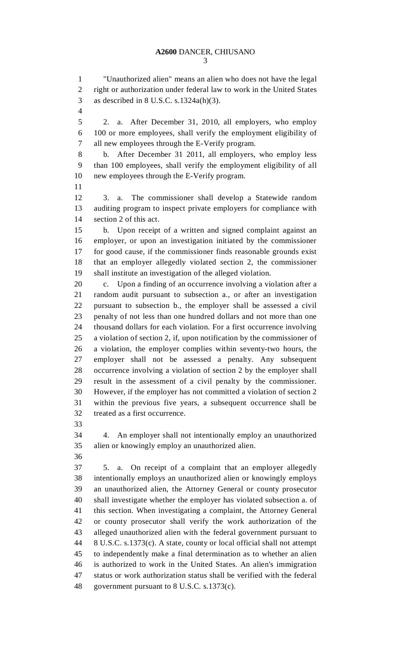3

1 "Unauthorized alien" means an alien who does not have the legal 2 right or authorization under federal law to work in the United States 3 as described in 8 U.S.C. s.1324a(h)(3).

4

5 2. a. After December 31, 2010, all employers, who employ 6 100 or more employees, shall verify the employment eligibility of 7 all new employees through the E-Verify program.

8 b. After December 31 2011, all employers, who employ less 9 than 100 employees, shall verify the employment eligibility of all 10 new employees through the E-Verify program.

11

12 3. a. The commissioner shall develop a Statewide random 13 auditing program to inspect private employers for compliance with 14 section 2 of this act.

15 b. Upon receipt of a written and signed complaint against an 16 employer, or upon an investigation initiated by the commissioner 17 for good cause, if the commissioner finds reasonable grounds exist 18 that an employer allegedly violated section 2, the commissioner 19 shall institute an investigation of the alleged violation.

20 c. Upon a finding of an occurrence involving a violation after a 21 random audit pursuant to subsection a., or after an investigation 22 pursuant to subsection b., the employer shall be assessed a civil 23 penalty of not less than one hundred dollars and not more than one 24 thousand dollars for each violation. For a first occurrence involving 25 a violation of section 2, if, upon notification by the commissioner of 26 a violation, the employer complies within seventy-two hours, the 27 employer shall not be assessed a penalty. Any subsequent 28 occurrence involving a violation of section 2 by the employer shall 29 result in the assessment of a civil penalty by the commissioner. 30 However, if the employer has not committed a violation of section 2 31 within the previous five years, a subsequent occurrence shall be 32 treated as a first occurrence.

33

34 4. An employer shall not intentionally employ an unauthorized 35 alien or knowingly employ an unauthorized alien.

36

37 5. a. On receipt of a complaint that an employer allegedly 38 intentionally employs an unauthorized alien or knowingly employs 39 an unauthorized alien, the Attorney General or county prosecutor 40 shall investigate whether the employer has violated subsection a. of 41 this section. When investigating a complaint, the Attorney General 42 or county prosecutor shall verify the work authorization of the 43 alleged unauthorized alien with the federal government pursuant to 44 8 U.S.C. s.1373(c). A state, county or local official shall not attempt 45 to independently make a final determination as to whether an alien 46 is authorized to work in the United States. An alien's immigration 47 status or work authorization status shall be verified with the federal 48 government pursuant to 8 U.S.C. s.1373(c).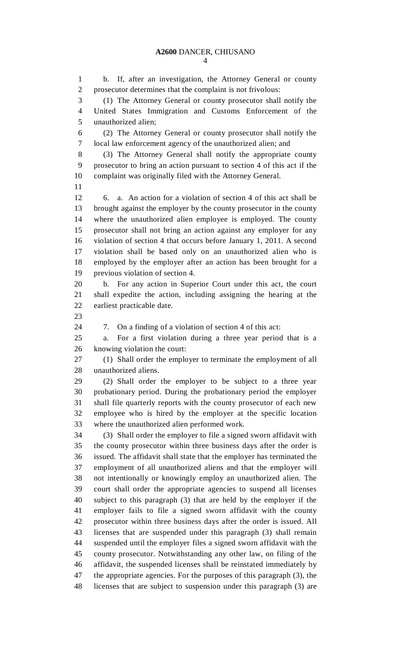## **A2600** DANCER, CHIUSANO

1 b. If, after an investigation, the Attorney General or county 2 prosecutor determines that the complaint is not frivolous: 3 (1) The Attorney General or county prosecutor shall notify the 4 United States Immigration and Customs Enforcement of the 5 unauthorized alien; 6 (2) The Attorney General or county prosecutor shall notify the 7 local law enforcement agency of the unauthorized alien; and 8 (3) The Attorney General shall notify the appropriate county 9 prosecutor to bring an action pursuant to section 4 of this act if the 10 complaint was originally filed with the Attorney General. 11 12 6. a. An action for a violation of section 4 of this act shall be 13 brought against the employer by the county prosecutor in the county 14 where the unauthorized alien employee is employed. The county 15 prosecutor shall not bring an action against any employer for any 16 violation of section 4 that occurs before January 1, 2011. A second 17 violation shall be based only on an unauthorized alien who is 18 employed by the employer after an action has been brought for a 19 previous violation of section 4. 20 b. For any action in Superior Court under this act, the court 21 shall expedite the action, including assigning the hearing at the 22 earliest practicable date. 23 24 7. On a finding of a violation of section 4 of this act: 25 a. For a first violation during a three year period that is a 26 knowing violation the court: 27 (1) Shall order the employer to terminate the employment of all 28 unauthorized aliens. 29 (2) Shall order the employer to be subject to a three year 30 probationary period. During the probationary period the employer 31 shall file quarterly reports with the county prosecutor of each new 32 employee who is hired by the employer at the specific location 33 where the unauthorized alien performed work. 34 (3) Shall order the employer to file a signed sworn affidavit with 35 the county prosecutor within three business days after the order is 36 issued. The affidavit shall state that the employer has terminated the 37 employment of all unauthorized aliens and that the employer will 38 not intentionally or knowingly employ an unauthorized alien. The 39 court shall order the appropriate agencies to suspend all licenses 40 subject to this paragraph (3) that are held by the employer if the 41 employer fails to file a signed sworn affidavit with the county 42 prosecutor within three business days after the order is issued. All 43 licenses that are suspended under this paragraph (3) shall remain 44 suspended until the employer files a signed sworn affidavit with the 45 county prosecutor. Notwithstanding any other law, on filing of the 46 affidavit, the suspended licenses shall be reinstated immediately by 47 the appropriate agencies. For the purposes of this paragraph (3), the 48 licenses that are subject to suspension under this paragraph (3) are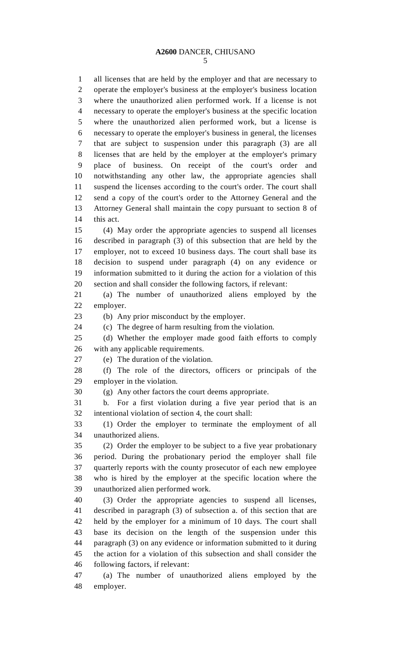#### **A2600** DANCER, CHIUSANO

5

1 all licenses that are held by the employer and that are necessary to 2 operate the employer's business at the employer's business location 3 where the unauthorized alien performed work. If a license is not 4 necessary to operate the employer's business at the specific location 5 where the unauthorized alien performed work, but a license is 6 necessary to operate the employer's business in general, the licenses 7 that are subject to suspension under this paragraph (3) are all 8 licenses that are held by the employer at the employer's primary 9 place of business. On receipt of the court's order and 10 notwithstanding any other law, the appropriate agencies shall 11 suspend the licenses according to the court's order. The court shall 12 send a copy of the court's order to the Attorney General and the 13 Attorney General shall maintain the copy pursuant to section 8 of 14 this act. 15 (4) May order the appropriate agencies to suspend all licenses 16 described in paragraph (3) of this subsection that are held by the 17 employer, not to exceed 10 business days. The court shall base its 18 decision to suspend under paragraph (4) on any evidence or 19 information submitted to it during the action for a violation of this

20 section and shall consider the following factors, if relevant:

21 (a) The number of unauthorized aliens employed by the 22 employer.

23 (b) Any prior misconduct by the employer.

24 (c) The degree of harm resulting from the violation.

25 (d) Whether the employer made good faith efforts to comply 26 with any applicable requirements.

27 (e) The duration of the violation.

28 (f) The role of the directors, officers or principals of the 29 employer in the violation.

30 (g) Any other factors the court deems appropriate.

31 b. For a first violation during a five year period that is an 32 intentional violation of section 4, the court shall:

33 (1) Order the employer to terminate the employment of all 34 unauthorized aliens.

35 (2) Order the employer to be subject to a five year probationary 36 period. During the probationary period the employer shall file 37 quarterly reports with the county prosecutor of each new employee 38 who is hired by the employer at the specific location where the 39 unauthorized alien performed work.

40 (3) Order the appropriate agencies to suspend all licenses, 41 described in paragraph (3) of subsection a. of this section that are 42 held by the employer for a minimum of 10 days. The court shall 43 base its decision on the length of the suspension under this 44 paragraph (3) on any evidence or information submitted to it during 45 the action for a violation of this subsection and shall consider the 46 following factors, if relevant:

47 (a) The number of unauthorized aliens employed by the 48 employer.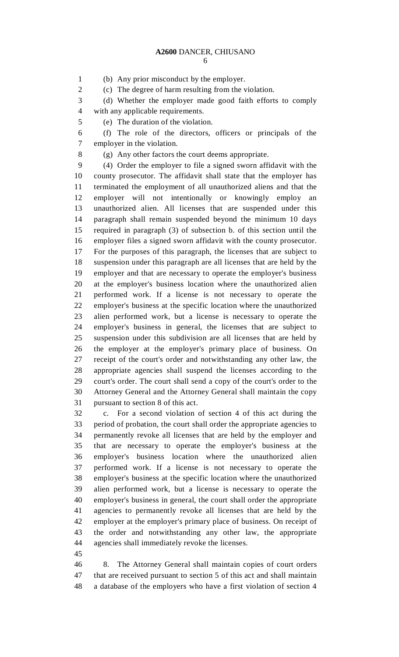1 (b) Any prior misconduct by the employer.

2 (c) The degree of harm resulting from the violation.

3 (d) Whether the employer made good faith efforts to comply 4 with any applicable requirements.

5 (e) The duration of the violation.

6 (f) The role of the directors, officers or principals of the 7 employer in the violation.

8 (g) Any other factors the court deems appropriate.

9 (4) Order the employer to file a signed sworn affidavit with the 10 county prosecutor. The affidavit shall state that the employer has 11 terminated the employment of all unauthorized aliens and that the 12 employer will not intentionally or knowingly employ an 13 unauthorized alien. All licenses that are suspended under this 14 paragraph shall remain suspended beyond the minimum 10 days 15 required in paragraph (3) of subsection b. of this section until the 16 employer files a signed sworn affidavit with the county prosecutor. 17 For the purposes of this paragraph, the licenses that are subject to 18 suspension under this paragraph are all licenses that are held by the 19 employer and that are necessary to operate the employer's business 20 at the employer's business location where the unauthorized alien 21 performed work. If a license is not necessary to operate the 22 employer's business at the specific location where the unauthorized 23 alien performed work, but a license is necessary to operate the 24 employer's business in general, the licenses that are subject to 25 suspension under this subdivision are all licenses that are held by 26 the employer at the employer's primary place of business. On 27 receipt of the court's order and notwithstanding any other law, the 28 appropriate agencies shall suspend the licenses according to the 29 court's order. The court shall send a copy of the court's order to the 30 Attorney General and the Attorney General shall maintain the copy 31 pursuant to section 8 of this act.

32 c. For a second violation of section 4 of this act during the 33 period of probation, the court shall order the appropriate agencies to 34 permanently revoke all licenses that are held by the employer and 35 that are necessary to operate the employer's business at the 36 employer's business location where the unauthorized alien 37 performed work. If a license is not necessary to operate the 38 employer's business at the specific location where the unauthorized 39 alien performed work, but a license is necessary to operate the 40 employer's business in general, the court shall order the appropriate 41 agencies to permanently revoke all licenses that are held by the 42 employer at the employer's primary place of business. On receipt of 43 the order and notwithstanding any other law, the appropriate 44 agencies shall immediately revoke the licenses.

45

46 8. The Attorney General shall maintain copies of court orders 47 that are received pursuant to section 5 of this act and shall maintain 48 a database of the employers who have a first violation of section 4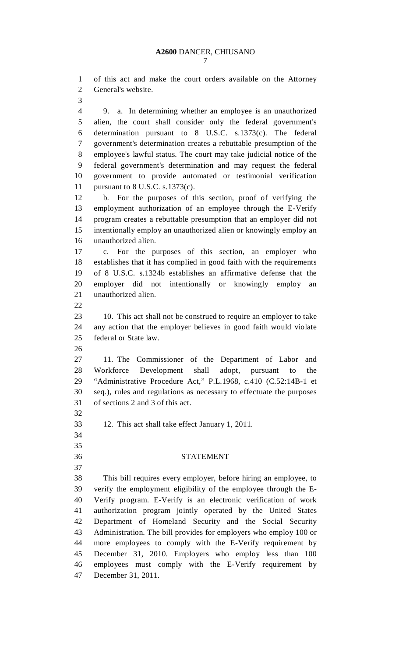1 of this act and make the court orders available on the Attorney 2 General's website.

3

4 9. a. In determining whether an employee is an unauthorized 5 alien, the court shall consider only the federal government's 6 determination pursuant to 8 U.S.C. s.1373(c). The federal 7 government's determination creates a rebuttable presumption of the 8 employee's lawful status. The court may take judicial notice of the 9 federal government's determination and may request the federal 10 government to provide automated or testimonial verification 11 pursuant to 8 U.S.C. s.1373(c).

12 b. For the purposes of this section, proof of verifying the 13 employment authorization of an employee through the E-Verify 14 program creates a rebuttable presumption that an employer did not 15 intentionally employ an unauthorized alien or knowingly employ an 16 unauthorized alien.

17 c. For the purposes of this section, an employer who 18 establishes that it has complied in good faith with the requirements 19 of 8 U.S.C. s.1324b establishes an affirmative defense that the 20 employer did not intentionally or knowingly employ an 21 unauthorized alien.

22

23 10. This act shall not be construed to require an employer to take 24 any action that the employer believes in good faith would violate 25 federal or State law.

26

27 11. The Commissioner of the Department of Labor and 28 Workforce Development shall adopt, pursuant to the 29 "Administrative Procedure Act," P.L.1968, c.410 (C.52:14B-1 et 30 seq.), rules and regulations as necessary to effectuate the purposes 31 of sections 2 and 3 of this act.

- 33 12. This act shall take effect January 1, 2011.
- 34 35

37

32

#### 36 STATEMENT

38 This bill requires every employer, before hiring an employee, to 39 verify the employment eligibility of the employee through the E-40 Verify program. E-Verify is an electronic verification of work 41 authorization program jointly operated by the United States 42 Department of Homeland Security and the Social Security 43 Administration. The bill provides for employers who employ 100 or 44 more employees to comply with the E-Verify requirement by 45 December 31, 2010. Employers who employ less than 100 46 employees must comply with the E-Verify requirement by 47 December 31, 2011.